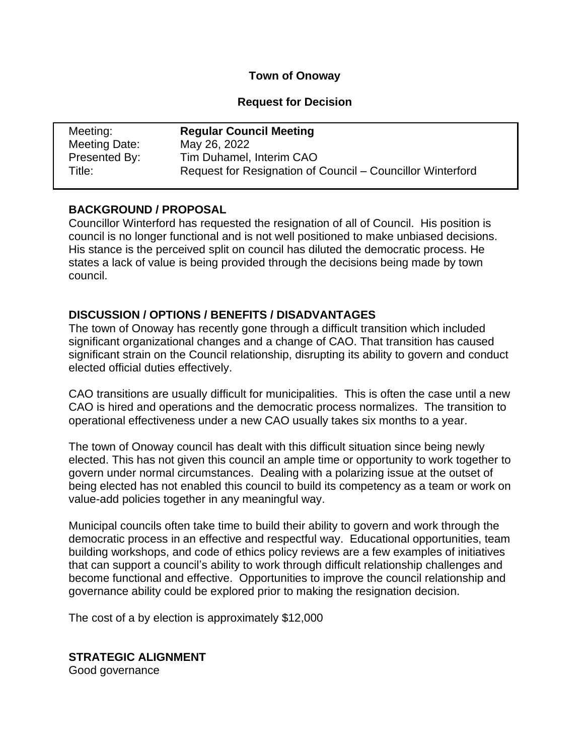### **Town of Onoway**

## **Request for Decision**

| Meeting:      | <b>Regular Council Meeting</b>                             |
|---------------|------------------------------------------------------------|
| Meeting Date: | May 26, 2022                                               |
| Presented By: | Tim Duhamel, Interim CAO                                   |
| Title:        | Request for Resignation of Council - Councillor Winterford |

# **BACKGROUND / PROPOSAL**

Councillor Winterford has requested the resignation of all of Council. His position is council is no longer functional and is not well positioned to make unbiased decisions. His stance is the perceived split on council has diluted the democratic process. He states a lack of value is being provided through the decisions being made by town council.

# **DISCUSSION / OPTIONS / BENEFITS / DISADVANTAGES**

The town of Onoway has recently gone through a difficult transition which included significant organizational changes and a change of CAO. That transition has caused significant strain on the Council relationship, disrupting its ability to govern and conduct elected official duties effectively.

CAO transitions are usually difficult for municipalities. This is often the case until a new CAO is hired and operations and the democratic process normalizes. The transition to operational effectiveness under a new CAO usually takes six months to a year.

The town of Onoway council has dealt with this difficult situation since being newly elected. This has not given this council an ample time or opportunity to work together to govern under normal circumstances. Dealing with a polarizing issue at the outset of being elected has not enabled this council to build its competency as a team or work on value-add policies together in any meaningful way.

Municipal councils often take time to build their ability to govern and work through the democratic process in an effective and respectful way. Educational opportunities, team building workshops, and code of ethics policy reviews are a few examples of initiatives that can support a council's ability to work through difficult relationship challenges and become functional and effective. Opportunities to improve the council relationship and governance ability could be explored prior to making the resignation decision.

The cost of a by election is approximately \$12,000

**STRATEGIC ALIGNMENT** Good governance